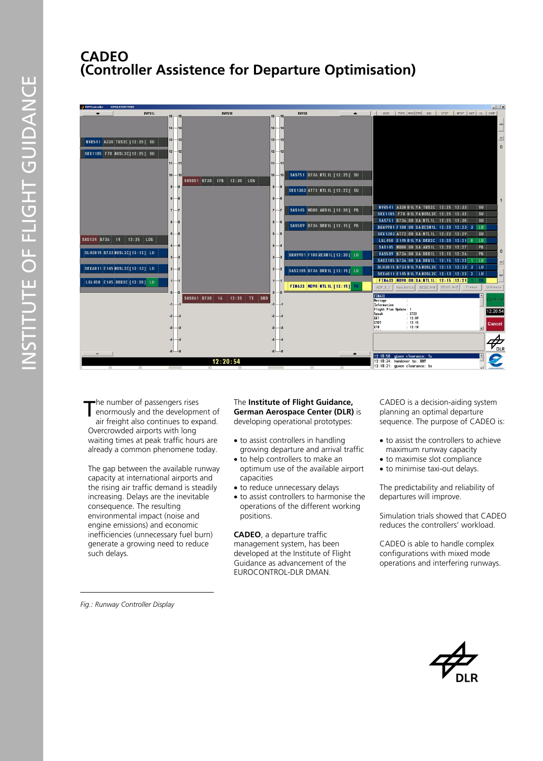## **CADEO (Controller Assistence for Departure Optimisation)**



he number of passengers rises enormously and the development of air freight also continues to expand. Overcrowded airports with long waiting times at peak traffic hours are already a common phenomene today. T

The gap between the available runway capacity at international airports and the rising air traffic demand is steadily increasing. Delays are the inevitable consequence. The resulting environmental impact (noise and engine emissions) and economic inefficiencies (unnecessary fuel burn) generate a growing need to reduce such delays.

*Fig.: Runway Controller Display* 

## The **Institute of Flight Guidance, German Aerospace Center (DLR)** is developing operational prototypes:

- to assist controllers in handling growing departure and arrival traffic
- to help controllers to make an optimum use of the available airport capacities
- to reduce unnecessary delays
- to assist controllers to harmonise the operations of the different working positions.

**CADEO**, a departure traffic management system, has been developed at the Institute of Flight Guidance as advancement of the EUROCONTROL-DLR DMAN.

CADEO is a decision-aiding system planning an optimal departure sequence. The purpose of CADEO is:

- to assist the controllers to achieve maximum runway capacity
- to maximise slot compliance
- to minimise taxi-out delays.

The predictability and reliability of departures will improve.

Simulation trials showed that CADEO reduces the controllers' workload.

CADEO is able to handle complex configurations with mixed mode operations and interfering runways.